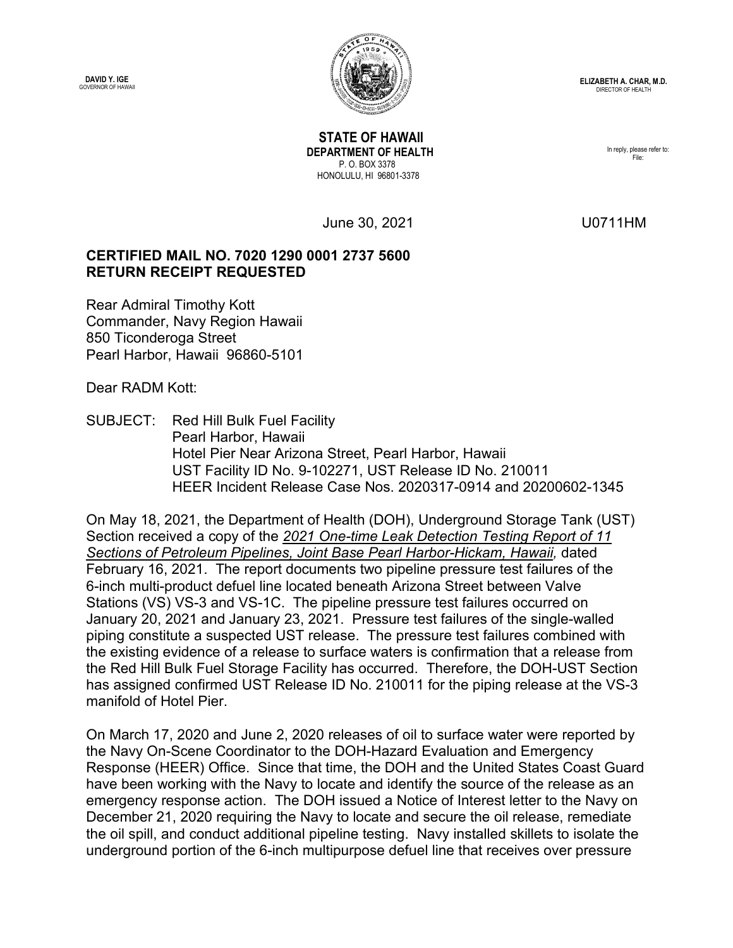**DAVID Y. IGE**<br>GOVERNOR OF HAWAII



 **STATE OF HAWAII DEPARTMENT OF HEALTH** P. O. BOX 3378 HONOLULU, HI 96801-3378

In reply, please refer to: File:

June 30, 2021 U0711HM

## **CERTIFIED MAIL NO. 7020 1290 0001 2737 5600 RETURN RECEIPT REQUESTED**

Rear Admiral Timothy Kott Commander, Navy Region Hawaii 850 Ticonderoga Street Pearl Harbor, Hawaii 96860-5101

Dear RADM Kott:

SUBJECT: Red Hill Bulk Fuel Facility Pearl Harbor, Hawaii Hotel Pier Near Arizona Street, Pearl Harbor, Hawaii UST Facility ID No. 9-102271, UST Release ID No. 210011 HEER Incident Release Case Nos. 2020317-0914 and 20200602-1345

On May 18, 2021, the Department of Health (DOH), Underground Storage Tank (UST) Section received a copy of the *2021 One-time Leak Detection Testing Report of 11 Sections of Petroleum Pipelines, Joint Base Pearl Harbor-Hickam, Hawaii,* dated February 16, 2021. The report documents two pipeline pressure test failures of the 6-inch multi-product defuel line located beneath Arizona Street between Valve Stations (VS) VS-3 and VS-1C. The pipeline pressure test failures occurred on January 20, 2021 and January 23, 2021. Pressure test failures of the single-walled piping constitute a suspected UST release. The pressure test failures combined with the existing evidence of a release to surface waters is confirmation that a release from the Red Hill Bulk Fuel Storage Facility has occurred. Therefore, the DOH-UST Section has assigned confirmed UST Release ID No. 210011 for the piping release at the VS-3 manifold of Hotel Pier.

On March 17, 2020 and June 2, 2020 releases of oil to surface water were reported by the Navy On-Scene Coordinator to the DOH-Hazard Evaluation and Emergency Response (HEER) Office. Since that time, the DOH and the United States Coast Guard have been working with the Navy to locate and identify the source of the release as an emergency response action. The DOH issued a Notice of Interest letter to the Navy on December 21, 2020 requiring the Navy to locate and secure the oil release, remediate the oil spill, and conduct additional pipeline testing. Navy installed skillets to isolate the underground portion of the 6-inch multipurpose defuel line that receives over pressure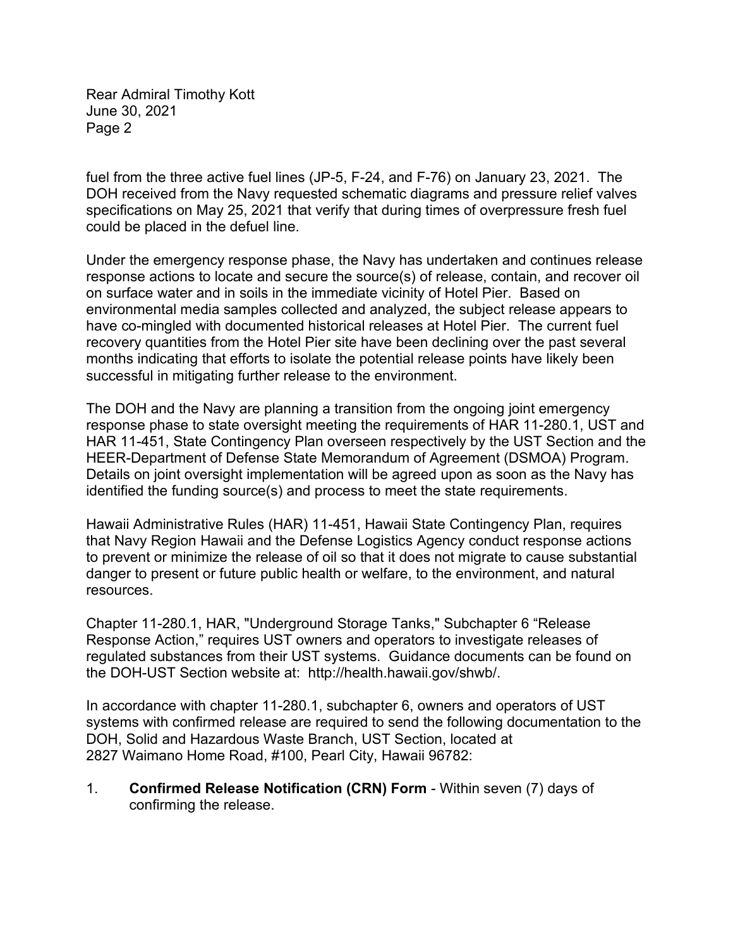Rear Admiral Timothy Kott June 30, 2021 Page 2

fuel from the three active fuel lines (JP-5, F-24, and F-76) on January 23, 2021. The DOH received from the Navy requested schematic diagrams and pressure relief valves specifications on May 25, 2021 that verify that during times of overpressure fresh fuel could be placed in the defuel line.

Under the emergency response phase, the Navy has undertaken and continues release response actions to locate and secure the source(s) of release, contain, and recover oil on surface water and in soils in the immediate vicinity of Hotel Pier. Based on environmental media samples collected and analyzed, the subject release appears to have co-mingled with documented historical releases at Hotel Pier. The current fuel recovery quantities from the Hotel Pier site have been declining over the past several months indicating that efforts to isolate the potential release points have likely been successful in mitigating further release to the environment.

The DOH and the Navy are planning a transition from the ongoing joint emergency response phase to state oversight meeting the requirements of HAR 11-280.1, UST and HAR 11-451, State Contingency Plan overseen respectively by the UST Section and the HEER-Department of Defense State Memorandum of Agreement (DSMOA) Program. Details on joint oversight implementation will be agreed upon as soon as the Navy has identified the funding source(s) and process to meet the state requirements.

Hawaii Administrative Rules (HAR) 11-451, Hawaii State Contingency Plan, requires that Navy Region Hawaii and the Defense Logistics Agency conduct response actions to prevent or minimize the release of oil so that it does not migrate to cause substantial danger to present or future public health or welfare, to the environment, and natural resources.

Chapter 11-280.1, HAR, "Underground Storage Tanks," Subchapter 6 "Release Response Action," requires UST owners and operators to investigate releases of regulated substances from their UST systems. Guidance documents can be found on the DOH-UST Section website at: http://health.hawaii.gov/shwb/.

In accordance with chapter 11-280.1, subchapter 6, owners and operators of UST systems with confirmed release are required to send the following documentation to the DOH, Solid and Hazardous Waste Branch, UST Section, located at 2827 Waimano Home Road, #100, Pearl City, Hawaii 96782:

1. **Confirmed Release Notification (CRN) Form** - Within seven (7) days of confirming the release.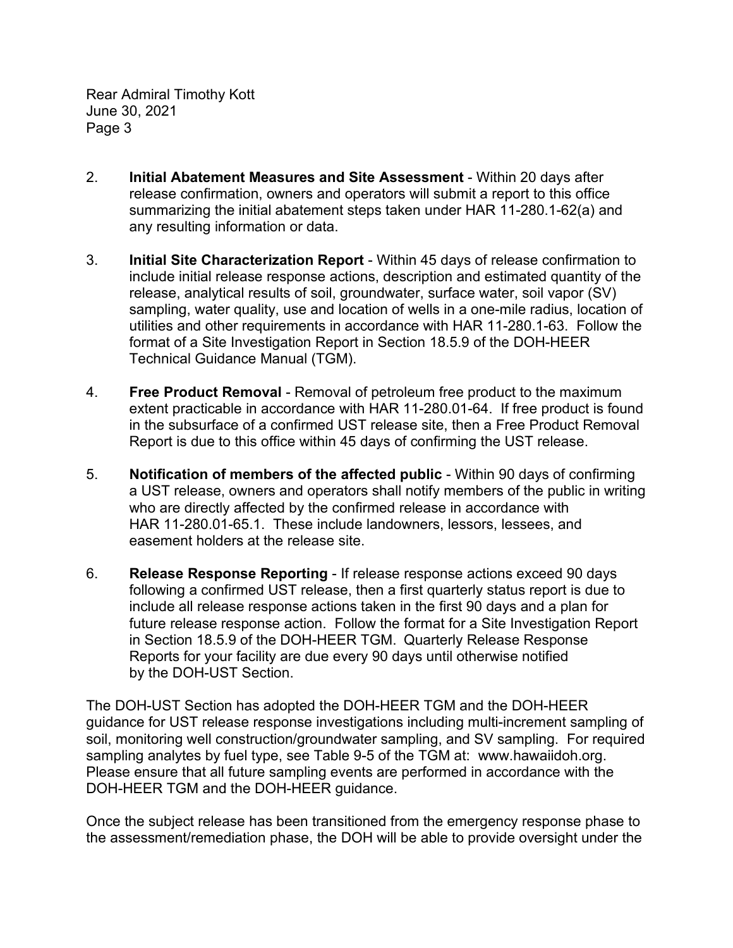Rear Admiral Timothy Kott June 30, 2021 Page 3

- 2. **Initial Abatement Measures and Site Assessment** Within 20 days after release confirmation, owners and operators will submit a report to this office summarizing the initial abatement steps taken under HAR 11-280.1-62(a) and any resulting information or data.
- 3. **Initial Site Characterization Report** Within 45 days of release confirmation to include initial release response actions, description and estimated quantity of the release, analytical results of soil, groundwater, surface water, soil vapor (SV) sampling, water quality, use and location of wells in a one-mile radius, location of utilities and other requirements in accordance with HAR 11-280.1-63. Follow the format of a Site Investigation Report in Section 18.5.9 of the DOH-HEER Technical Guidance Manual (TGM).
- 4. **Free Product Removal** Removal of petroleum free product to the maximum extent practicable in accordance with HAR 11-280.01-64. If free product is found in the subsurface of a confirmed UST release site, then a Free Product Removal Report is due to this office within 45 days of confirming the UST release.
- 5. **Notification of members of the affected public** Within 90 days of confirming a UST release, owners and operators shall notify members of the public in writing who are directly affected by the confirmed release in accordance with HAR 11-280.01-65.1. These include landowners, lessors, lessees, and easement holders at the release site.
- 6. **Release Response Reporting** If release response actions exceed 90 days following a confirmed UST release, then a first quarterly status report is due to include all release response actions taken in the first 90 days and a plan for future release response action. Follow the format for a Site Investigation Report in Section 18.5.9 of the DOH-HEER TGM. Quarterly Release Response Reports for your facility are due every 90 days until otherwise notified by the DOH-UST Section.

The DOH-UST Section has adopted the DOH-HEER TGM and the DOH-HEER guidance for UST release response investigations including multi-increment sampling of soil, monitoring well construction/groundwater sampling, and SV sampling. For required sampling analytes by fuel type, see Table 9-5 of the TGM at: www.hawaiidoh.org. Please ensure that all future sampling events are performed in accordance with the DOH-HEER TGM and the DOH-HEER guidance.

Once the subject release has been transitioned from the emergency response phase to the assessment/remediation phase, the DOH will be able to provide oversight under the